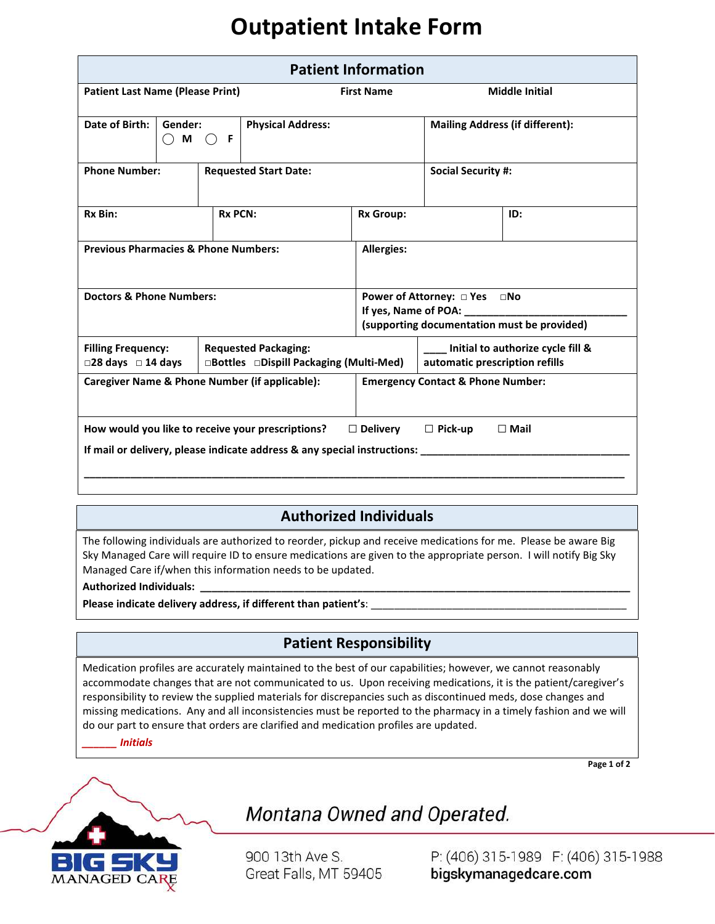# **Outpatient Intake Form**

| <b>Patient Information</b>                                                                                                                                                                                    |                                |                              |                                                                        |                                                                             |                                                                     |     |
|---------------------------------------------------------------------------------------------------------------------------------------------------------------------------------------------------------------|--------------------------------|------------------------------|------------------------------------------------------------------------|-----------------------------------------------------------------------------|---------------------------------------------------------------------|-----|
| <b>Patient Last Name (Please Print)</b>                                                                                                                                                                       |                                |                              | <b>First Name</b>                                                      |                                                                             | <b>Middle Initial</b>                                               |     |
| Date of Birth:                                                                                                                                                                                                | Gender:<br>F<br>M<br>$(\quad)$ |                              | <b>Physical Address:</b>                                               |                                                                             | <b>Mailing Address (if different):</b>                              |     |
| <b>Phone Number:</b>                                                                                                                                                                                          |                                | <b>Requested Start Date:</b> |                                                                        |                                                                             | <b>Social Security #:</b>                                           |     |
| Rx Bin:                                                                                                                                                                                                       |                                | <b>Rx PCN:</b>               |                                                                        | <b>Rx Group:</b>                                                            |                                                                     | ID: |
| <b>Previous Pharmacies &amp; Phone Numbers:</b>                                                                                                                                                               |                                |                              |                                                                        | <b>Allergies:</b>                                                           |                                                                     |     |
| <b>Doctors &amp; Phone Numbers:</b>                                                                                                                                                                           |                                |                              |                                                                        | Power of Attorney: □ Yes □No<br>(supporting documentation must be provided) |                                                                     |     |
| <b>Filling Frequency:</b><br>$\square$ 28 days $\square$ 14 days                                                                                                                                              |                                |                              | <b>Requested Packaging:</b><br>□Bottles □Dispill Packaging (Multi-Med) |                                                                             | Initial to authorize cycle fill &<br>automatic prescription refills |     |
| <b>Caregiver Name &amp; Phone Number (if applicable):</b><br><b>Emergency Contact &amp; Phone Number:</b>                                                                                                     |                                |                              |                                                                        |                                                                             |                                                                     |     |
| How would you like to receive your prescriptions?<br>$\Box$ Delivery<br>$\Box$ Pick-up<br>$\Box$ Mail<br>If mail or delivery, please indicate address & any special instructions: ___________________________ |                                |                              |                                                                        |                                                                             |                                                                     |     |
|                                                                                                                                                                                                               |                                |                              |                                                                        |                                                                             |                                                                     |     |

### **Authorized Individuals**

The following individuals are authorized to reorder, pickup and receive medications for me. Please be aware Big Sky Managed Care will require ID to ensure medications are given to the appropriate person. I will notify Big Sky Managed Care if/when this information needs to be updated.

#### **Authorized Individuals: \_\_\_\_\_\_\_\_\_\_\_\_\_\_\_\_\_\_\_\_\_\_\_\_\_\_\_\_\_\_\_\_\_\_\_\_\_\_\_\_\_\_\_\_\_\_\_\_\_\_\_\_\_\_\_\_\_\_\_\_\_\_\_\_\_\_\_\_\_\_\_\_\_\_**

Please indicate delivery address, if different than patient's: \_

#### **Patient Responsibility**

Medication profiles are accurately maintained to the best of our capabilities; however, we cannot reasonably accommodate changes that are not communicated to us. Upon receiving medications, it is the patient/caregiver's responsibility to review the supplied materials for discrepancies such as discontinued meds, dose changes and missing medications. Any and all inconsistencies must be reported to the pharmacy in a timely fashion and we will do our part to ensure that orders are clarified and medication profiles are updated.

*\_\_\_\_\_\_ Initials* 

**Page 1 of 2**



### Montana Owned and Operated.

900 13th Ave S. Great Falls, MT 59405

P: (406) 315-1989 F: (406) 315-1988 bigskymanagedcare.com